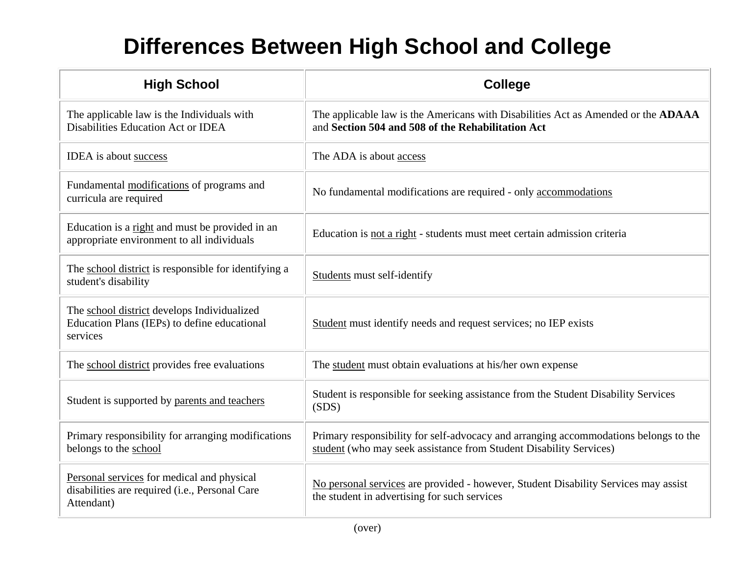## **Differences Between High School and College**

| <b>High School</b>                                                                                         | <b>College</b>                                                                                                                                             |
|------------------------------------------------------------------------------------------------------------|------------------------------------------------------------------------------------------------------------------------------------------------------------|
| The applicable law is the Individuals with<br>Disabilities Education Act or IDEA                           | The applicable law is the Americans with Disabilities Act as Amended or the ADAAA<br>and Section 504 and 508 of the Rehabilitation Act                     |
| IDEA is about success                                                                                      | The ADA is about access                                                                                                                                    |
| Fundamental modifications of programs and<br>curricula are required                                        | No fundamental modifications are required - only accommodations                                                                                            |
| Education is a right and must be provided in an<br>appropriate environment to all individuals              | Education is not a right - students must meet certain admission criteria                                                                                   |
| The school district is responsible for identifying a<br>student's disability                               | <b>Students must self-identify</b>                                                                                                                         |
| The school district develops Individualized<br>Education Plans (IEPs) to define educational<br>services    | Student must identify needs and request services; no IEP exists                                                                                            |
| The school district provides free evaluations                                                              | The student must obtain evaluations at his/her own expense                                                                                                 |
| Student is supported by parents and teachers                                                               | Student is responsible for seeking assistance from the Student Disability Services<br>(SDS)                                                                |
| Primary responsibility for arranging modifications<br>belongs to the school                                | Primary responsibility for self-advocacy and arranging accommodations belongs to the<br>student (who may seek assistance from Student Disability Services) |
| Personal services for medical and physical<br>disabilities are required (i.e., Personal Care<br>Attendant) | No personal services are provided - however, Student Disability Services may assist<br>the student in advertising for such services                        |